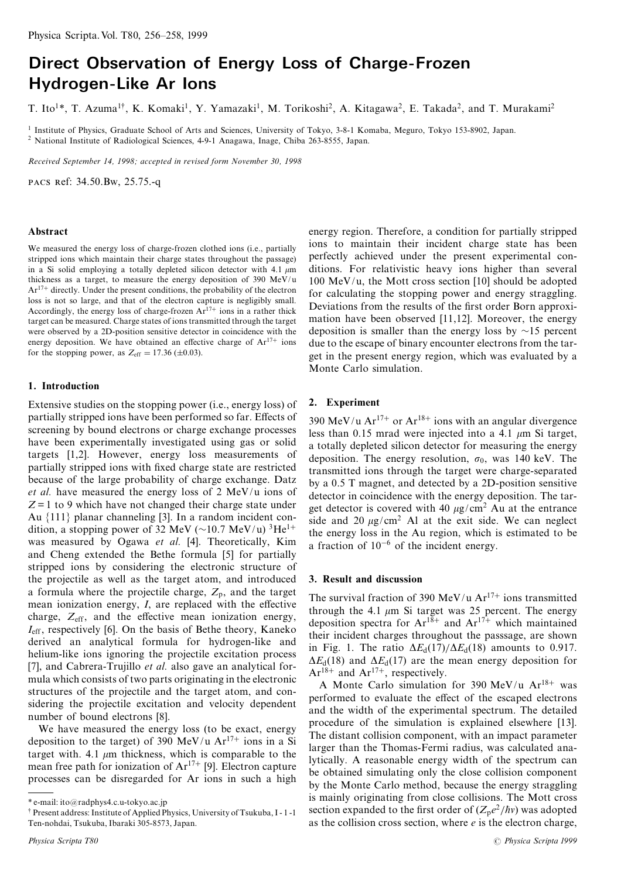# Direct Observation of Energy Loss of Charge-Frozen Hydrogen-Like Ar lons

T. Ito<sup>1\*</sup>, T. Azuma<sup>1†</sup>, K. Komaki<sup>1</sup>, Y. Yamazaki<sup>1</sup>, M. Torikoshi<sup>2</sup>, A. Kitagawa<sup>2</sup>, E. Takada<sup>2</sup>, and T. Murakami<sup>2</sup>

<sup>1</sup> Institute of Physics, Graduate School of Arts and Sciences, University of Tokyo, 3-8-1 Komaba, Meguro, Tokyo 153-8902, Japan. <sup>2</sup> National Institute of Radiological Sciences, 4-9-1 Anagawa, Inage, Chiba 263-8555, Japan.

Received September 14, 1998; accepted in revised form November 30, 1998

PACS Ref: 34.50.Bw, 25.75.-q

#### Abstract

We measured the energy loss of charge-frozen clothed ions (i.e., partially stripped ions which maintain their charge states throughout the passage) in a Si solid employing a totally depleted silicon detector with 4.1  $\mu$ m thickness as a target, to measure the energy deposition of 390 MeV/u  $Ar^{17+}$  directly. Under the present conditions, the probability of the electron loss is not so large, and that of the electron capture is negligibly small. Accordingly, the energy loss of charge-frozen  $Ar^{17+}$  ions in a rather thick target can be measured. Charge states of ions transmitted through the target were observed by a 2D-position sensitive detector in coincidence with the energy deposition. We have obtained an effective charge of  $Ar^{17+}$  ions for the stopping power, as  $Z_{\text{eff}} = 17.36 \ (\pm 0.03)$ .

### 1. Introduction

Extensive studies on the stopping power (i.e., energy loss) of partially stripped ions have been performed so far. Effects of screening by bound electrons or charge exchange processes have been experimentally investigated using gas or solid targets [1,2]. However, energy loss measurements of partially stripped ions with fixed charge state are restricted because of the large probability of charge exchange. Datz et al. have measured the energy loss of 2 MeV/u ions of  $Z = 1$  to 9 which have not changed their charge state under Au  $\{111\}$  planar channeling [3]. In a random incident condition, a stopping power of 32 MeV ( $\sim$ 10.7 MeV/u)<sup>3</sup>He<sup>1+</sup> was measured by Ogawa et al. [4]. Theoretically, Kim and Cheng extended the Bethe formula [5] for partially stripped ions by considering the electronic structure of the projectile as well as the target atom, and introduced a formula where the projectile charge,  $Z_p$ , and the target mean ionization energy,  $I$ , are replaced with the effective charge,  $Z_{\text{eff}}$ , and the effective mean ionization energy,  $I_{\text{eff}}$ , respectively [6]. On the basis of Bethe theory, Kaneko derived an analytical formula for hydrogen-like and helium-like ions ignoring the projectile excitation process [7], and Cabrera-Trujillo et al. also gave an analytical formula which consists of two parts originating in the electronic structures of the projectile and the target atom, and considering the projectile excitation and velocity dependent number of bound electrons [8].

We have measured the energy loss (to be exact, energy deposition to the target) of 390 MeV/u  $Ar^{17+}$  ions in a Si target with. 4.1  $\mu$ m thickness, which is comparable to the mean free path for ionization of  $Ar^{17+}$  [9]. Electron capture processes can be disregarded for Ar ions in such a high

energy region. Therefore, a condition for partially stripped ions to maintain their incident charge state has been perfectly achieved under the present experimental conditions. For relativistic heavy ions higher than several  $100 \text{ MeV/u}$ , the Mott cross section [10] should be adopted for calculating the stopping power and energy straggling. Deviations from the results of the first order Born approximation have been observed [11,12]. Moreover, the energy deposition is smaller than the energy loss by  $\sim$ 15 percent due to the escape of binary encounter electrons from the target in the present energy region, which was evaluated by a Monte Carlo simulation.

# 2. Experiment

390 MeV/u Ar<sup>17+</sup> or Ar<sup>18+</sup> ions with an angular divergence less than 0.15 mrad were injected into a 4.1  $\mu$ m Si target, a totally depleted silicon detector for measuring the energy deposition. The energy resolution,  $\sigma_0$ , was 140 keV. The transmitted ions through the target were charge-separated by a 0.5 T magnet, and detected by a 2D-position sensitive detector in coincidence with the energy deposition. The target detector is covered with 40  $\mu$ g/cm<sup>2</sup> Au at the entrance side and 20  $\mu$ g/cm<sup>2</sup> Al at the exit side. We can neglect the energy loss in the Au region, which is estimated to be a fraction of  $10^{-6}$  of the incident energy.

# 3. Result and discussion

The survival fraction of 390 MeV/u  $Ar^{17+}$  ions transmitted through the 4.1  $\mu$ m Si target was 25 percent. The energy deposition spectra for  $Ar^{18+}$  and  $Ar^{17+}$  which maintained their incident charges throughout the passsage, are shown in Fig. 1. The ratio  $\Delta E_d(17)/\Delta E_d(18)$  amounts to 0.917.  $\Delta E_d(18)$  and  $\Delta E_d(17)$  are the mean energy deposition for  $Ar^{18+}$  and  $Ar^{17+}$ , respectively.

A Monte Carlo simulation for 390 MeV/u Ar<sup>18+</sup> was performed to evaluate the effect of the escaped electrons and the width of the experimental spectrum. The detailed procedure of the simulation is explained elsewhere [13]. The distant collision component, with an impact parameter larger than the Thomas-Fermi radius, was calculated analytically. A reasonable energy width of the spectrum can be obtained simulating only the close collision component by the Monte Carlo method, because the energy straggling is mainly originating from close collisions. The Mott cross section expanded to the first order of  $(Z_p e^2/\hbar v)$  was adopted as the collision cross section, where  $e$  is the electron charge,

<sup>\*</sup>e-mail: ito@radphys4.c.u-tokyo.ac.jp

<sup>&</sup>lt;sup>†</sup> Present address: Institute of Applied Physics, University of Tsukuba, I - 1 - 1 Ten-nohdai, Tsukuba, Ibaraki 305-8573, Japan.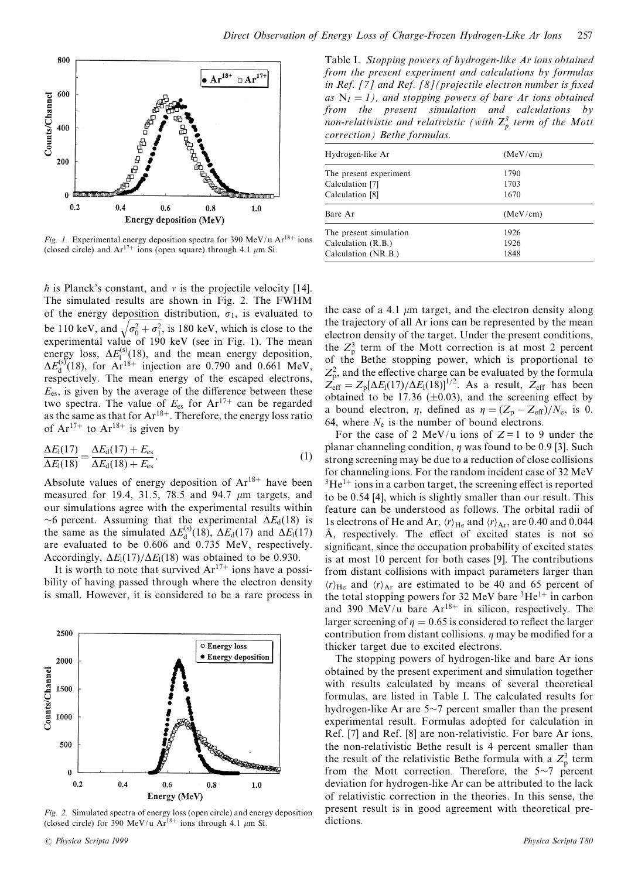

Fig. 1. Experimental energy deposition spectra for 390 MeV/u Ar<sup>18+</sup> ions (closed circle) and  $Ar^{17+}$  ions (open square) through 4.1  $\mu$ m Si.

 $\hbar$  is Planck's constant, and v is the projectile velocity [14]. The simulated results are shown in Fig. 2. The FWHM of the energy deposition distribution,  $\sigma_1$ , is evaluated to be 110 keV, and  $\sqrt{\sigma_0^2 + \sigma_1^2}$ , is 180 keV, which is close to the experimental value of 190 keV (see in Fig. 1). The mean energy loss,  $\Delta E_1^{(s)}(18)$ , and the mean energy deposition,  $\Delta E_4^{(s)}(18)$ , for  $Ar^{18+}$  injection are 0.790 and 0.661 MeV, respectively. The mean energy of the escaped electrons,  $E_{\text{es}}$ , is given by the average of the difference between these<br>two spectra. The value of  $E_{\text{es}}$  for  $Ar^{17+}$  can be regarded<br>as the same as that for  $Ar^{18+}$ . Therefore, the energy loss ratio of  $Ar^{17+}$  to  $Ar^{18+}$  is given by

$$
\frac{\Delta E_{\rm I}(17)}{\Delta E_{\rm I}(18)} = \frac{\Delta E_{\rm d}(17) + E_{\rm es}}{\Delta E_{\rm d}(18) + E_{\rm es}}.\tag{1}
$$

Absolute values of energy deposition of  $Ar^{18+}$  have been measured for 19.4, 31.5, 78.5 and 94.7  $\mu$ m targets, and our simulations agree with the experimental results within ~6 percent. Assuming that the experimental  $\Delta E_d(18)$  is the same as the simulated  $\Delta E_d^{(s)}(18)$ ,  $\Delta E_d(17)$  and  $\Delta E_l(17)$ are evaluated to be 0.606 and 0.735 MeV, respectively. Accordingly,  $\Delta E_1(17)/\Delta E_1(18)$  was obtained to be 0.930.

It is worth to note that survived  $Ar^{17+}$  ions have a possibility of having passed through where the electron density is small. However, it is considered to be a rare process in



Fig. 2. Simulated spectra of energy loss (open circle) and energy deposition (closed circle) for 390 MeV/u  $Ar^{18+}$  ions through 4.1  $\mu$ m Si.

Table I. Stopping powers of hydrogen-like Ar ions obtained from the present experiment and calculations by formulas in Ref. [7] and Ref. [8] (projectile electron number is fixed as  $N_1 = 1$ ), and stopping powers of bare Ar ions obtained from the present simulation and calculations by non-relativistic and relativistic (with  $Z_p^3$  term of the Mott correction) Bethe formulas.

| Hydrogen-like Ar       | (MeV/cm) |
|------------------------|----------|
| The present experiment | 1790     |
| Calculation [7]        | 1703     |
| Calculation [8]        | 1670     |
| Bare Ar                | (MeV/cm) |
| The present simulation | 1926     |
| Calculation (R.B.)     | 1926     |
| Calculation (NR.B.)    | 1848     |

the case of a 4.1  $\mu$ m target, and the electron density along the trajectory of all Ar ions can be represented by the mean electron density of the target. Under the present conditions, the  $Z<sub>n</sub><sup>3</sup>$  term of the Mott correction is at most 2 percent of the Bethe stopping power, which is proportional to  $Z_p^2$ , and the effective charge can be evaluated by the formula  $Z_{\text{eff}} = Z_p[\Delta E_1(17)/\Delta E_1(18)]^{1/2}$ . As a result,  $Z_{\text{eff}}$  has been obtained to be 17.36 ( $\pm$ 0.03), and the screening effect by a bound electron,  $\eta$ , defined as  $\eta = (Z_p - Z_{eff})/N_e$ , is 0. 64, where  $N_e$  is the number of bound electrons.

For the case of 2 MeV/u ions of  $Z=1$  to 9 under the planar channeling condition,  $\eta$  was found to be 0.9 [3]. Such strong screening may be due to a reduction of close collisions for channeling ions. For the random incident case of 32 MeV  ${}^{3}$ He<sup>1+</sup> ions in a carbon target, the screening effect is reported to be 0.54 [4], which is slightly smaller than our result. This feature can be understood as follows. The orbital radii of 1s electrons of He and Ar,  $\langle r \rangle_{\text{He}}$  and  $\langle r \rangle_{\text{Ar}}$ , are 0.40 and 0.044 Å, respectively. The effect of excited states is not so significant, since the occupation probability of excited states is at most 10 percent for both cases [9]. The contributions from distant collisions with impact parameters larger than  $\langle r \rangle_{\text{He}}$  and  $\langle r \rangle_{\text{Ar}}$  are estimated to be 40 and 65 percent of the total stopping powers for 32 MeV bare  ${}^{3}\text{He}^{1+}$  in carbon and 390 MeV/u bare  $Ar^{18+}$  in silicon, respectively. The larger screening of  $\eta = 0.65$  is considered to reflect the larger contribution from distant collisions.  $\eta$  may be modified for a thicker target due to excited electrons.

The stopping powers of hydrogen-like and bare Ar ions obtained by the present experiment and simulation together with results calculated by means of several theoretical formulas, are listed in Table I. The calculated results for hydrogen-like Ar are  $5\sim$ 7 percent smaller than the present experimental result. Formulas adopted for calculation in Ref. [7] and Ref. [8] are non-relativistic. For bare Ar ions, the non-relativistic Bethe result is 4 percent smaller than the result of the relativistic Bethe formula with a  $Z_n^3$  term from the Mott correction. Therefore, the  $5\sim7$  percent deviation for hydrogen-like Ar can be attributed to the lack of relativistic correction in the theories. In this sense, the present result is in good agreement with theoretical predictions.